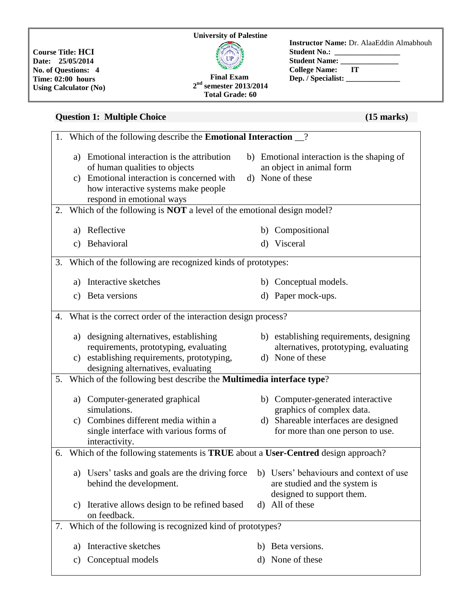**Course Title: HCI Date: 25/05/2014 No. of Questions: 4 Time: 02:00 hours Using Calculator (No)**

#### **Final Exam 2 nd semester 2013/2014 Total Grade: 60**

## **Instructor Name:** Dr. AlaaEddin Almabhouh Student No.: \_ **Student Name: College Name: IT Dep. / Specialist: \_\_\_\_\_\_\_\_\_\_\_\_\_\_**

# **Question 1: Multiple Choice** (15 **marks**)

|    | 1. Which of the following describe the <b>Emotional Interaction</b> 2.          |                                                                                                                                                                                             |         |                                                                                                       |  |
|----|---------------------------------------------------------------------------------|---------------------------------------------------------------------------------------------------------------------------------------------------------------------------------------------|---------|-------------------------------------------------------------------------------------------------------|--|
|    | a)                                                                              | Emotional interaction is the attribution<br>of human qualities to objects<br>c) Emotional interaction is concerned with<br>how interactive systems make people<br>respond in emotional ways |         | b) Emotional interaction is the shaping of<br>an object in animal form<br>d) None of these            |  |
| 2. |                                                                                 | Which of the following is <b>NOT</b> a level of the emotional design model?                                                                                                                 |         |                                                                                                       |  |
|    |                                                                                 | a) Reflective                                                                                                                                                                               |         | b) Compositional                                                                                      |  |
|    |                                                                                 | c) Behavioral                                                                                                                                                                               | $\rm d$ | Visceral                                                                                              |  |
|    |                                                                                 | 3. Which of the following are recognized kinds of prototypes:                                                                                                                               |         |                                                                                                       |  |
|    | a)                                                                              | Interactive sketches                                                                                                                                                                        |         | b) Conceptual models.                                                                                 |  |
|    |                                                                                 | c) Beta versions                                                                                                                                                                            |         | d) Paper mock-ups.                                                                                    |  |
|    | 4. What is the correct order of the interaction design process?                 |                                                                                                                                                                                             |         |                                                                                                       |  |
|    |                                                                                 | a) designing alternatives, establishing<br>requirements, prototyping, evaluating                                                                                                            |         | b) establishing requirements, designing<br>alternatives, prototyping, evaluating                      |  |
|    |                                                                                 | c) establishing requirements, prototyping,<br>designing alternatives, evaluating                                                                                                            |         | d) None of these                                                                                      |  |
| 5. | Which of the following best describe the Multimedia interface type?             |                                                                                                                                                                                             |         |                                                                                                       |  |
|    |                                                                                 | a) Computer-generated graphical<br>simulations.                                                                                                                                             |         | b) Computer-generated interactive<br>graphics of complex data.                                        |  |
|    |                                                                                 | c) Combines different media within a<br>single interface with various forms of<br>interactivity.                                                                                            |         | d) Shareable interfaces are designed<br>for more than one person to use.                              |  |
| 6. | Which of the following statements is TRUE about a User-Centred design approach? |                                                                                                                                                                                             |         |                                                                                                       |  |
|    |                                                                                 | a) Users' tasks and goals are the driving force<br>behind the development.                                                                                                                  |         | b) Users' behaviours and context of use<br>are studied and the system is<br>designed to support them. |  |
|    | C)                                                                              | Iterative allows design to be refined based<br>on feedback.                                                                                                                                 | d)      | All of these                                                                                          |  |
| 7. | Which of the following is recognized kind of prototypes?                        |                                                                                                                                                                                             |         |                                                                                                       |  |
|    | a)                                                                              | Interactive sketches                                                                                                                                                                        | b)      | Beta versions.                                                                                        |  |
|    | C)                                                                              | Conceptual models                                                                                                                                                                           | d)      | None of these                                                                                         |  |
|    |                                                                                 |                                                                                                                                                                                             |         |                                                                                                       |  |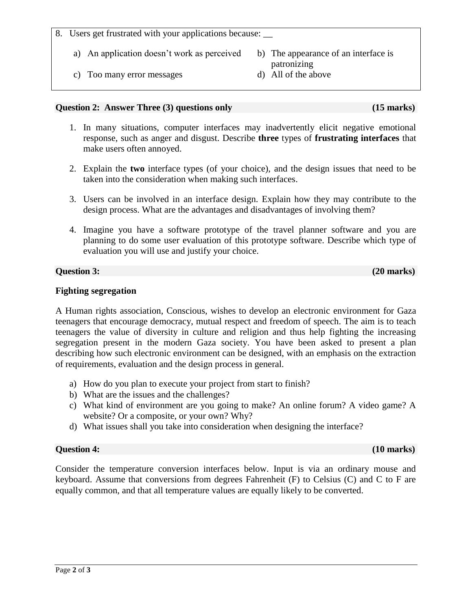#### 8. Users get frustrated with your applications because: \_\_

- a) An application doesn't work as perceived b) The appearance of an interface is
- c) Too many error messages d) All of the above

#### **Question 2: Answer Three (3) questions only (15 marks)**

- 1. In many situations, computer interfaces may inadvertently elicit negative emotional response, such as anger and disgust. Describe **three** types of **frustrating interfaces** that make users often annoyed.
- 2. Explain the **two** interface types (of your choice), and the design issues that need to be taken into the consideration when making such interfaces.
- 3. Users can be involved in an interface design. Explain how they may contribute to the design process. What are the advantages and disadvantages of involving them?
- 4. Imagine you have a software prototype of the travel planner software and you are planning to do some user evaluation of this prototype software. Describe which type of evaluation you will use and justify your choice.

### **Question 3:** (20 **marks**)

### **Fighting segregation**

A Human rights association, Conscious, wishes to develop an electronic environment for Gaza teenagers that encourage democracy, mutual respect and freedom of speech. The aim is to teach teenagers the value of diversity in culture and religion and thus help fighting the increasing segregation present in the modern Gaza society. You have been asked to present a plan describing how such electronic environment can be designed, with an emphasis on the extraction of requirements, evaluation and the design process in general.

- a) How do you plan to execute your project from start to finish?
- b) What are the issues and the challenges?
- c) What kind of environment are you going to make? An online forum? A video game? A website? Or a composite, or your own? Why?
- d) What issues shall you take into consideration when designing the interface?

### **Question 4: (10 marks)**

Consider the temperature conversion interfaces below. Input is via an ordinary mouse and keyboard. Assume that conversions from degrees Fahrenheit (F) to Celsius (C) and C to F are equally common, and that all temperature values are equally likely to be converted.

patronizing